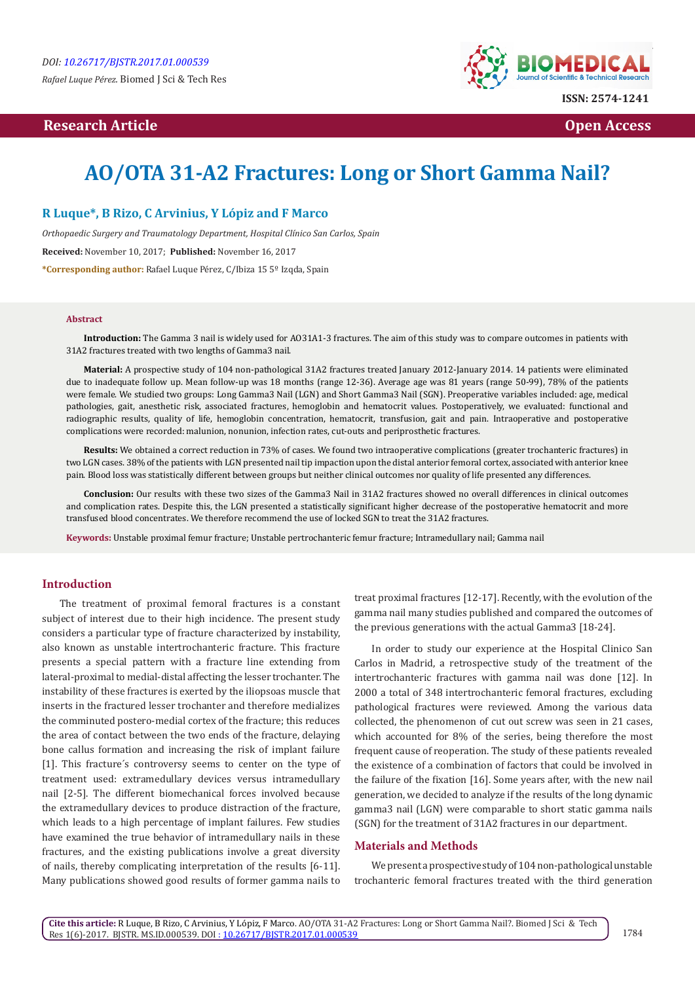*Rafael Luque Pérez.* Biomed J Sci & Tech Res

# **Research Article Contract Contract Contract Contract Contract Contract Contract Contract Contract Contract Contract Contract Contract Contract Contract Contract Contract Contract Contract Contract Contract Contract Contr**



# **AO/OTA 31-A2 Fractures: Long or Short Gamma Nail?**

# **R Luque\*, B Rizo, C Arvinius, Y Lópiz and F Marco**

*Orthopaedic Surgery and Traumatology Department, Hospital Clínico San Carlos, Spain* **Received:** November 10, 2017; **Published:** November 16, 2017 **\*Corresponding author:** Rafael Luque Pérez, C/Ibiza 15 5º Izqda, Spain

#### **Abstract**

**Introduction:** The Gamma 3 nail is widely used for AO31A1-3 fractures. The aim of this study was to compare outcomes in patients with 31A2 fractures treated with two lengths of Gamma3 nail.

**Material:** A prospective study of 104 non-pathological 31A2 fractures treated January 2012-January 2014. 14 patients were eliminated due to inadequate follow up. Mean follow-up was 18 months (range 12-36). Average age was 81 years (range 50-99), 78% of the patients were female. We studied two groups: Long Gamma3 Nail (LGN) and Short Gamma3 Nail (SGN). Preoperative variables included: age, medical pathologies, gait, anesthetic risk, associated fractures, hemoglobin and hematocrit values. Postoperatively, we evaluated: functional and radiographic results, quality of life, hemoglobin concentration, hematocrit, transfusion, gait and pain. Intraoperative and postoperative complications were recorded: malunion, nonunion, infection rates, cut-outs and periprosthetic fractures.

**Results:** We obtained a correct reduction in 73% of cases. We found two intraoperative complications (greater trochanteric fractures) in two LGN cases. 38% of the patients with LGN presented nail tip impaction upon the distal anterior femoral cortex, associated with anterior knee pain. Blood loss was statistically different between groups but neither clinical outcomes nor quality of life presented any differences.

**Conclusion:** Our results with these two sizes of the Gamma3 Nail in 31A2 fractures showed no overall differences in clinical outcomes and complication rates. Despite this, the LGN presented a statistically significant higher decrease of the postoperative hematocrit and more transfused blood concentrates. We therefore recommend the use of locked SGN to treat the 31A2 fractures.

**Keywords:** Unstable proximal femur fracture; Unstable pertrochanteric femur fracture; Intramedullary nail; Gamma nail

# **Introduction**

The treatment of proximal femoral fractures is a constant subject of interest due to their high incidence. The present study considers a particular type of fracture characterized by instability, also known as unstable intertrochanteric fracture. This fracture presents a special pattern with a fracture line extending from lateral-proximal to medial-distal affecting the lesser trochanter. The instability of these fractures is exerted by the iliopsoas muscle that inserts in the fractured lesser trochanter and therefore medializes the comminuted postero-medial cortex of the fracture; this reduces the area of contact between the two ends of the fracture, delaying bone callus formation and increasing the risk of implant failure [1]. This fracture´s controversy seems to center on the type of treatment used: extramedullary devices versus intramedullary nail [2-5]. The different biomechanical forces involved because the extramedullary devices to produce distraction of the fracture, which leads to a high percentage of implant failures. Few studies have examined the true behavior of intramedullary nails in these fractures, and the existing publications involve a great diversity of nails, thereby complicating interpretation of the results [6-11]. Many publications showed good results of former gamma nails to

treat proximal fractures [12-17]. Recently, with the evolution of the gamma nail many studies published and compared the outcomes of the previous generations with the actual Gamma3 [18-24].

In order to study our experience at the Hospital Clinico San Carlos in Madrid, a retrospective study of the treatment of the intertrochanteric fractures with gamma nail was done [12]. In 2000 a total of 348 intertrochanteric femoral fractures, excluding pathological fractures were reviewed. Among the various data collected, the phenomenon of cut out screw was seen in 21 cases, which accounted for 8% of the series, being therefore the most frequent cause of reoperation. The study of these patients revealed the existence of a combination of factors that could be involved in the failure of the fixation [16]. Some years after, with the new nail generation, we decided to analyze if the results of the long dynamic gamma3 nail (LGN) were comparable to short static gamma nails (SGN) for the treatment of 31A2 fractures in our department.

## **Materials and Methods**

We present a prospective study of 104 non-pathological unstable trochanteric femoral fractures treated with the third generation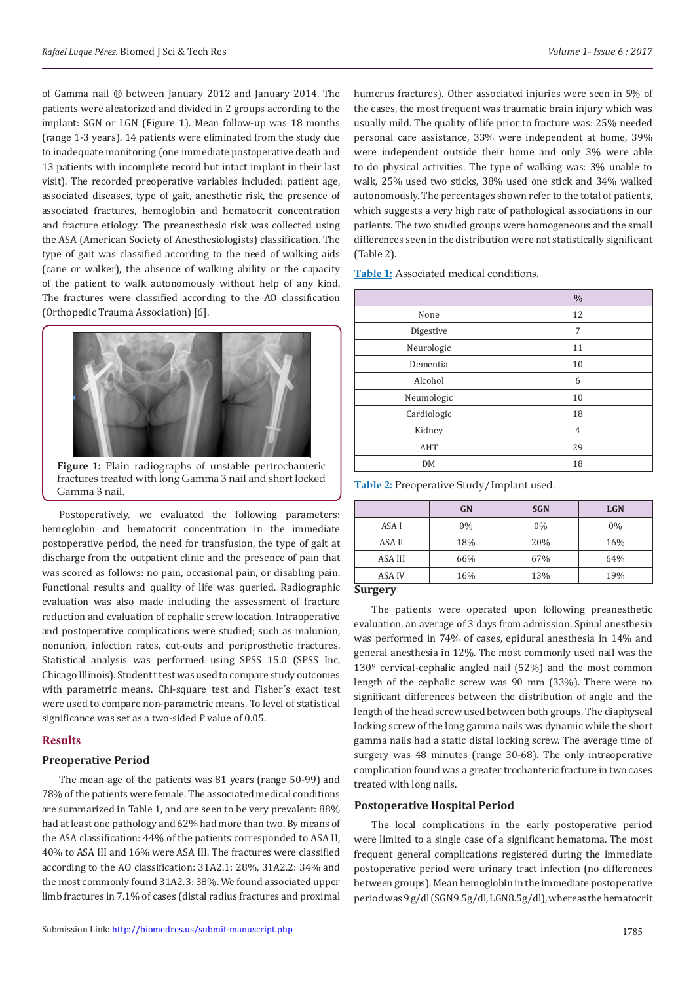of Gamma nail ® between January 2012 and January 2014. The patients were aleatorized and divided in 2 groups according to the implant: SGN or LGN (Figure 1). Mean follow-up was 18 months (range 1-3 years). 14 patients were eliminated from the study due to inadequate monitoring (one immediate postoperative death and 13 patients with incomplete record but intact implant in their last visit). The recorded preoperative variables included: patient age, associated diseases, type of gait, anesthetic risk, the presence of associated fractures, hemoglobin and hematocrit concentration and fracture etiology. The preanesthesic risk was collected using the ASA (American Society of Anesthesiologists) classification. The type of gait was classified according to the need of walking aids (cane or walker), the absence of walking ability or the capacity of the patient to walk autonomously without help of any kind. The fractures were classified according to the AO classification (Orthopedic Trauma Association) [6].



Postoperatively, we evaluated the following parameters: hemoglobin and hematocrit concentration in the immediate postoperative period, the need for transfusion, the type of gait at discharge from the outpatient clinic and the presence of pain that was scored as follows: no pain, occasional pain, or disabling pain. Functional results and quality of life was queried. Radiographic evaluation was also made including the assessment of fracture reduction and evaluation of cephalic screw location. Intraoperative and postoperative complications were studied; such as malunion, nonunion, infection rates, cut-outs and periprosthetic fractures. Statistical analysis was performed using SPSS 15.0 (SPSS Inc, Chicago Illinois). Student t test was used to compare study outcomes with parametric means. Chi-square test and Fisher´s exact test were used to compare non-parametric means. To level of statistical significance was set as a two-sided P value of 0.05.

## **Results**

## **Preoperative Period**

The mean age of the patients was 81 years (range 50-99) and 78% of the patients were female. The associated medical conditions are summarized in Table 1, and are seen to be very prevalent: 88% had at least one pathology and 62% had more than two. By means of the ASA classification: 44% of the patients corresponded to ASA II, 40% to ASA III and 16% were ASA III. The fractures were classified according to the AO classification: 31A2.1: 28%, 31A2.2: 34% and the most commonly found 31A2.3: 38%. We found associated upper limb fractures in 7.1% of cases (distal radius fractures and proximal

humerus fractures). Other associated injuries were seen in 5% of the cases, the most frequent was traumatic brain injury which was usually mild. The quality of life prior to fracture was: 25% needed personal care assistance, 33% were independent at home, 39% were independent outside their home and only 3% were able to do physical activities. The type of walking was: 3% unable to walk, 25% used two sticks, 38% used one stick and 34% walked autonomously. The percentages shown refer to the total of patients, which suggests a very high rate of pathological associations in our patients. The two studied groups were homogeneous and the small differences seen in the distribution were not statistically significant (Table 2).

**Table 1:** Associated medical conditions.

| $\frac{0}{0}$  |
|----------------|
| 12             |
| 7              |
| 11             |
| 10             |
| 6              |
| 10             |
| 18             |
| $\overline{4}$ |
| 29             |
| 18             |
|                |

**Table 2:** Preoperative Study/Implant used.

|         | <b>GN</b> | <b>SGN</b> | <b>LGN</b> |
|---------|-----------|------------|------------|
| ASA I   | $0\%$     | 0%         | 0%         |
| ASA II  | 18%       | 20%        | 16%        |
| ASA III | 66%       | 67%        | 64%        |
| ASA IV  | 16%       | 13%        | 19%        |
| Curgary |           |            |            |

### **Surgery**

The patients were operated upon following preanesthetic evaluation, an average of 3 days from admission. Spinal anesthesia was performed in 74% of cases, epidural anesthesia in 14% and general anesthesia in 12%. The most commonly used nail was the 130º cervical-cephalic angled nail (52%) and the most common length of the cephalic screw was 90 mm (33%). There were no significant differences between the distribution of angle and the length of the head screw used between both groups. The diaphyseal locking screw of the long gamma nails was dynamic while the short gamma nails had a static distal locking screw. The average time of surgery was 48 minutes (range 30-68). The only intraoperative complication found was a greater trochanteric fracture in two cases treated with long nails.

### **Postoperative Hospital Period**

The local complications in the early postoperative period were limited to a single case of a significant hematoma. The most frequent general complications registered during the immediate postoperative period were urinary tract infection (no differences between groups). Mean hemoglobin in the immediate postoperative period was 9 g/dl (SGN9.5g/dl, LGN8.5g/dl), whereas the hematocrit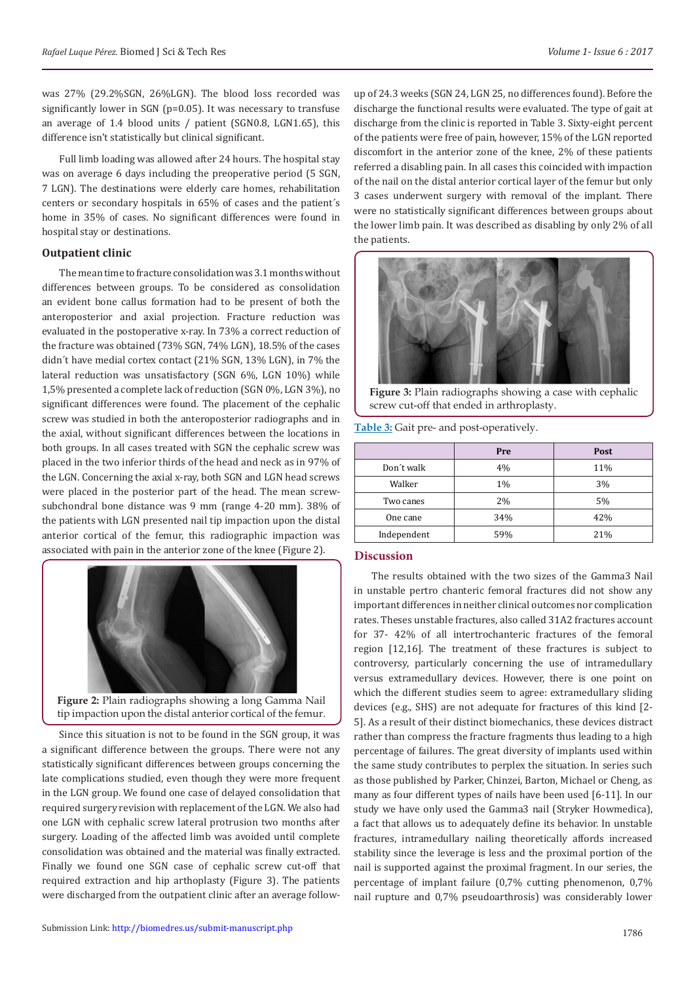was 27% (29.2%SGN, 26%LGN). The blood loss recorded was significantly lower in SGN (p=0.05). It was necessary to transfuse an average of 1.4 blood units / patient (SGN0.8, LGN1.65), this difference isn't statistically but clinical significant.

Full limb loading was allowed after 24 hours. The hospital stay was on average 6 days including the preoperative period (5 SGN, 7 LGN). The destinations were elderly care homes, rehabilitation centers or secondary hospitals in 65% of cases and the patient´s home in 35% of cases. No significant differences were found in hospital stay or destinations.

# **Outpatient clinic**

The mean time to fracture consolidation was 3.1 months without differences between groups. To be considered as consolidation an evident bone callus formation had to be present of both the anteroposterior and axial projection. Fracture reduction was evaluated in the postoperative x-ray. In 73% a correct reduction of the fracture was obtained (73% SGN, 74% LGN), 18.5% of the cases didn´t have medial cortex contact (21% SGN, 13% LGN), in 7% the lateral reduction was unsatisfactory (SGN 6%, LGN 10%) while 1,5% presented a complete lack of reduction (SGN 0%, LGN 3%), no significant differences were found. The placement of the cephalic screw was studied in both the anteroposterior radiographs and in the axial, without significant differences between the locations in both groups. In all cases treated with SGN the cephalic screw was placed in the two inferior thirds of the head and neck as in 97% of the LGN. Concerning the axial x-ray, both SGN and LGN head screws were placed in the posterior part of the head. The mean screwsubchondral bone distance was 9 mm (range 4-20 mm). 38% of the patients with LGN presented nail tip impaction upon the distal anterior cortical of the femur, this radiographic impaction was associated with pain in the anterior zone of the knee (Figure 2).



**Figure 2:** Plain radiographs showing a long Gamma Nail tip impaction upon the distal anterior cortical of the femur.

Since this situation is not to be found in the SGN group, it was a significant difference between the groups. There were not any statistically significant differences between groups concerning the late complications studied, even though they were more frequent in the LGN group. We found one case of delayed consolidation that required surgery revision with replacement of the LGN. We also had one LGN with cephalic screw lateral protrusion two months after surgery. Loading of the affected limb was avoided until complete consolidation was obtained and the material was finally extracted. Finally we found one SGN case of cephalic screw cut-off that required extraction and hip arthoplasty (Figure 3). The patients were discharged from the outpatient clinic after an average followup of 24.3 weeks (SGN 24, LGN 25, no differences found). Before the discharge the functional results were evaluated. The type of gait at discharge from the clinic is reported in Table 3. Sixty-eight percent of the patients were free of pain, however, 15% of the LGN reported discomfort in the anterior zone of the knee, 2% of these patients referred a disabling pain. In all cases this coincided with impaction of the nail on the distal anterior cortical layer of the femur but only 3 cases underwent surgery with removal of the implant. There were no statistically significant differences between groups about the lower limb pain. It was described as disabling by only 2% of all the patients.



**Figure 3:** Plain radiographs showing a case with cephalic screw cut-off that ended in arthroplasty.

**Table 3:** Gait pre- and post-operatively.

|             | Pre   | Post |
|-------------|-------|------|
| Don't walk  | 4%    | 11%  |
| Walker      | $1\%$ | 3%   |
| Two canes   | 2%    | 5%   |
| One cane    | 34%   | 42%  |
| Independent | 59%   | 21%  |

## **Discussion**

The results obtained with the two sizes of the Gamma3 Nail in unstable pertro chanteric femoral fractures did not show any important differences in neither clinical outcomes nor complication rates. Theses unstable fractures, also called 31A2 fractures account for 37- 42% of all intertrochanteric fractures of the femoral region [12,16]. The treatment of these fractures is subject to controversy, particularly concerning the use of intramedullary versus extramedullary devices. However, there is one point on which the different studies seem to agree: extramedullary sliding devices (e.g., SHS) are not adequate for fractures of this kind [2- 5]. As a result of their distinct biomechanics, these devices distract rather than compress the fracture fragments thus leading to a high percentage of failures. The great diversity of implants used within the same study contributes to perplex the situation. In series such as those published by Parker, Chinzei, Barton, Michael or Cheng, as many as four different types of nails have been used [6-11]. In our study we have only used the Gamma3 nail (Stryker Howmedica), a fact that allows us to adequately define its behavior. In unstable fractures, intramedullary nailing theoretically affords increased stability since the leverage is less and the proximal portion of the nail is supported against the proximal fragment. In our series, the percentage of implant failure (0,7% cutting phenomenon, 0,7% nail rupture and 0,7% pseudoarthrosis) was considerably lower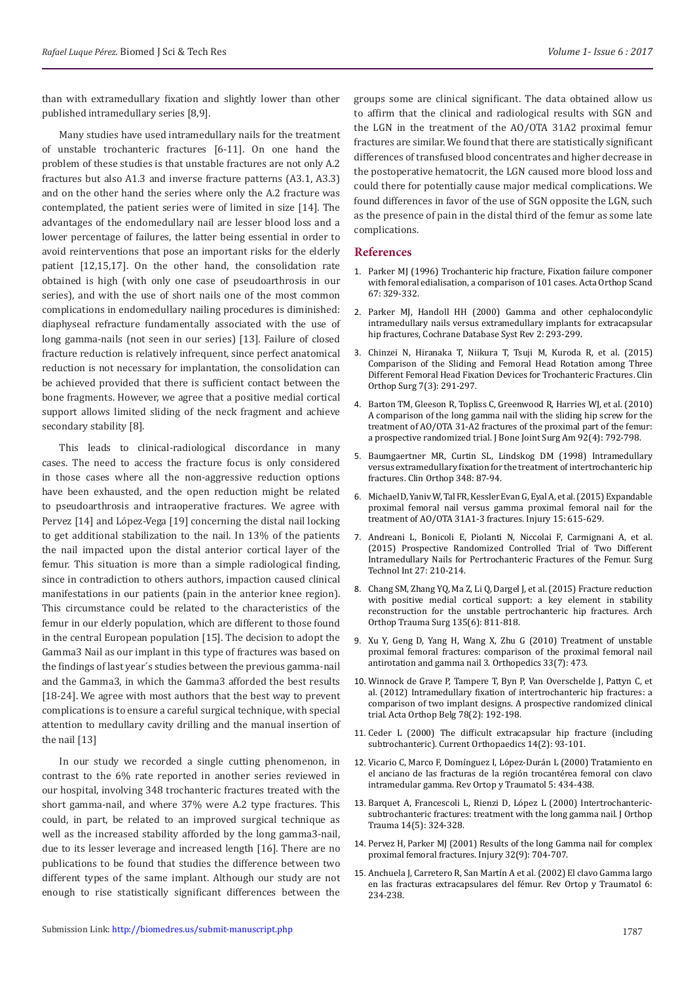than with extramedullary fixation and slightly lower than other published intramedullary series [8,9].

Many studies have used intramedullary nails for the treatment of unstable trochanteric fractures [6-11]. On one hand the problem of these studies is that unstable fractures are not only A.2 fractures but also A1.3 and inverse fracture patterns (A3.1, A3.3) and on the other hand the series where only the A.2 fracture was contemplated, the patient series were of limited in size [14]. The advantages of the endomedullary nail are lesser blood loss and a lower percentage of failures, the latter being essential in order to avoid reinterventions that pose an important risks for the elderly patient [12,15,17]. On the other hand, the consolidation rate obtained is high (with only one case of pseudoarthrosis in our series), and with the use of short nails one of the most common complications in endomedullary nailing procedures is diminished: diaphyseal refracture fundamentally associated with the use of long gamma-nails (not seen in our series) [13]. Failure of closed fracture reduction is relatively infrequent, since perfect anatomical reduction is not necessary for implantation, the consolidation can be achieved provided that there is sufficient contact between the bone fragments. However, we agree that a positive medial cortical support allows limited sliding of the neck fragment and achieve secondary stability [8].

This leads to clinical-radiological discordance in many cases. The need to access the fracture focus is only considered in those cases where all the non-aggressive reduction options have been exhausted, and the open reduction might be related to pseudoarthrosis and intraoperative fractures. We agree with Pervez [14] and López-Vega [19] concerning the distal nail locking to get additional stabilization to the nail. In 13% of the patients the nail impacted upon the distal anterior cortical layer of the femur. This situation is more than a simple radiological finding, since in contradiction to others authors, impaction caused clinical manifestations in our patients (pain in the anterior knee region). This circumstance could be related to the characteristics of the femur in our elderly population, which are different to those found in the central European population [15]. The decision to adopt the Gamma3 Nail as our implant in this type of fractures was based on the findings of last year´s studies between the previous gamma-nail and the Gamma3, in which the Gamma3 afforded the best results [18-24]. We agree with most authors that the best way to prevent complications is to ensure a careful surgical technique, with special attention to medullary cavity drilling and the manual insertion of the nail [13]

In our study we recorded a single cutting phenomenon, in contrast to the 6% rate reported in another series reviewed in our hospital, involving 348 trochanteric fractures treated with the short gamma-nail, and where 37% were A.2 type fractures. This could, in part, be related to an improved surgical technique as well as the increased stability afforded by the long gamma3-nail, due to its lesser leverage and increased length [16]. There are no publications to be found that studies the difference between two different types of the same implant. Although our study are not enough to rise statistically significant differences between the

groups some are clinical significant. The data obtained allow us to affirm that the clinical and radiological results with SGN and the LGN in the treatment of the AO/OTA 31A2 proximal femur fractures are similar. We found that there are statistically significant differences of transfused blood concentrates and higher decrease in the postoperative hematocrit, the LGN caused more blood loss and could there for potentially cause major medical complications. We found differences in favor of the use of SGN opposite the LGN, such as the presence of pain in the distal third of the femur as some late complications.

## **References**

- 1. Parker MJ (1996) Trochanteric hip fracture, Fixation failure componer with femoral edialisation, a comparison of 101 cases. Acta Orthop Scand 67: 329-332.
- 2. [Parker MJ, Handoll HH \(2000\) Gamma and other cephalocondylic](https://www.ncbi.nlm.nih.gov/pubmed/18646058) [intramedullary nails versus extramedullary implants for extracapsular](https://www.ncbi.nlm.nih.gov/pubmed/18646058) [hip fractures, Cochrane Database Syst Rev 2: 293-299.](https://www.ncbi.nlm.nih.gov/pubmed/18646058)
- 3. Chinzei N, Hiranaka T, Niikura T, Tsuji M, [Kuroda R, et al. \(2015\)](https://www.ncbi.nlm.nih.gov/pmc/articles/PMC4553275/) [Comparison of the Sliding and Femoral Head Rotation among Three](https://www.ncbi.nlm.nih.gov/pmc/articles/PMC4553275/) [Different Femoral Head Fixation Devices for Trochanteric Fractures. Clin](https://www.ncbi.nlm.nih.gov/pmc/articles/PMC4553275/) [Orthop Surg 7\(3\): 291-297.](https://www.ncbi.nlm.nih.gov/pmc/articles/PMC4553275/)
- 4. [Barton TM, Gleeson R, Topliss C, Greenwood R, Harries WJ, et al. \(2010\)](https://www.ncbi.nlm.nih.gov/pubmed/20360500) [A comparison of the long gamma nail with the sliding hip screw for the](https://www.ncbi.nlm.nih.gov/pubmed/20360500) [treatment of AO/OTA 31-A2 fractures of the proximal part of the femur:](https://www.ncbi.nlm.nih.gov/pubmed/20360500) [a prospective randomized trial. J Bone Joint Surg Am 92\(4\): 792-798.](https://www.ncbi.nlm.nih.gov/pubmed/20360500)
- 5. [Baumgaertner MR, Curtin SL, Lindskog DM \(1998\) Intramedullary](https://www.ncbi.nlm.nih.gov/pubmed/9553538) [versus extramedullary fixation for the treatment of intertrochanteric hip](https://www.ncbi.nlm.nih.gov/pubmed/9553538) [fractures. Clin Orthop 348: 87-94.](https://www.ncbi.nlm.nih.gov/pubmed/9553538)
- 6. Michael D, Yaniv W, Tal FR, Kessler Evan G, Eyal A, et al. (2015) Expandable proximal femoral nail versus gamma [proximal femoral](https://www.ncbi.nlm.nih.gov/pubmed/26573896) nail for the [treatment of AO/OTA 31A1-3 fractures. Injury 15: 615-629.](https://www.ncbi.nlm.nih.gov/pubmed/26573896)
- 7. Andreani L, Bonicoli E, Piolanti N, Niccolai F, [Carmignani A,](https://www.ncbi.nlm.nih.gov/pubmed/26680399) et al. [\(2015\) Prospective Randomized Controlled Trial of Two Different](https://www.ncbi.nlm.nih.gov/pubmed/26680399) Intramedullary Nails [for Pertrochanteric Fractures of the Femur. Surg](https://www.ncbi.nlm.nih.gov/pubmed/26680399) [Technol Int 27: 210-214.](https://www.ncbi.nlm.nih.gov/pubmed/26680399)
- 8. Chang SM, Zhang YQ, Ma Z, Li Q, Dargel J, [et al. \(2015\) Fracture reduction](https://www.ncbi.nlm.nih.gov/pubmed/25840887) [with positive medial cortical support: a key element in stability](https://www.ncbi.nlm.nih.gov/pubmed/25840887) [reconstruction for the unstable pertrochanteric hip fractures. Arch](https://www.ncbi.nlm.nih.gov/pubmed/25840887) [Orthop Trauma Surg 135\(6\): 811-818.](https://www.ncbi.nlm.nih.gov/pubmed/25840887)
- 9. [Xu Y, Geng D, Yang H, Wang X, Zhu G \(2010\) Treatment of unstable](https://www.ncbi.nlm.nih.gov/pubmed/20608635) [proximal femoral fractures: comparison of the proximal femoral nail](https://www.ncbi.nlm.nih.gov/pubmed/20608635) [antirotation and gamma nail 3. Orthopedics 33\(7\): 473.](https://www.ncbi.nlm.nih.gov/pubmed/20608635)
- 10. [Winnock de Grave P,](https://www.ncbi.nlm.nih.gov/pubmed/22696989) Tampere T, Byn P, Van Overschelde J, Pattyn C, et [al. \(2012\) Intramedullary fixation of intertrochanteric hip fractures: a](https://www.ncbi.nlm.nih.gov/pubmed/22696989) [comparison of two implant designs. A prospective randomized clinical](https://www.ncbi.nlm.nih.gov/pubmed/22696989) [trial. Acta Orthop Belg 78\(2\): 192-198.](https://www.ncbi.nlm.nih.gov/pubmed/22696989)
- 11. [Ceder L \(2000\) The difficult extracapsular hip fracture \(including](http://www.orthopaedicsandtraumajournal.co.uk/article/S0268-0890(00)90094-X/abstract) [subtrochanteric\). Current Orthopaedics 14\(2\): 93-101.](http://www.orthopaedicsandtraumajournal.co.uk/article/S0268-0890(00)90094-X/abstract)
- 12. [Vicario C, Marco F, Domínguez I, López-Durán L \(2000\) Tratamiento en](http://www.elsevier.es/es-revista-revista-espanola-cirugia-ortopedica-traumatologia-129-articulo-tratamiento-el-anciano-las-fracturas-10018185) [el anciano de las fracturas de la región trocantérea femoral con clavo](http://www.elsevier.es/es-revista-revista-espanola-cirugia-ortopedica-traumatologia-129-articulo-tratamiento-el-anciano-las-fracturas-10018185) [intramedular gamma. Rev Ortop y Traumatol 5: 434-438.](http://www.elsevier.es/es-revista-revista-espanola-cirugia-ortopedica-traumatologia-129-articulo-tratamiento-el-anciano-las-fracturas-10018185)
- 13. [Barquet A, Francescoli L, Rienzi D, López L \(2000\) Intertrochanteric](https://www.ncbi.nlm.nih.gov/pubmed/10926238)[subtrochanteric fractures: treatment with the long gamma nail. J Orthop](https://www.ncbi.nlm.nih.gov/pubmed/10926238) [Trauma 14\(5\): 324-328.](https://www.ncbi.nlm.nih.gov/pubmed/10926238)
- 14. [Pervez H, Parker MJ \(2001\) Results of the long Gamma nail for complex](https://www.ncbi.nlm.nih.gov/pubmed/11600117) [proximal femoral fractures. Injury 32\(9\): 704-707.](https://www.ncbi.nlm.nih.gov/pubmed/11600117)
- 15. Anchuela J, Carretero R, San Martín A et al. (2002) El clavo Gamma largo en las fracturas extracapsulares del fémur. Rev Ortop y Traumatol 6: 234-238.